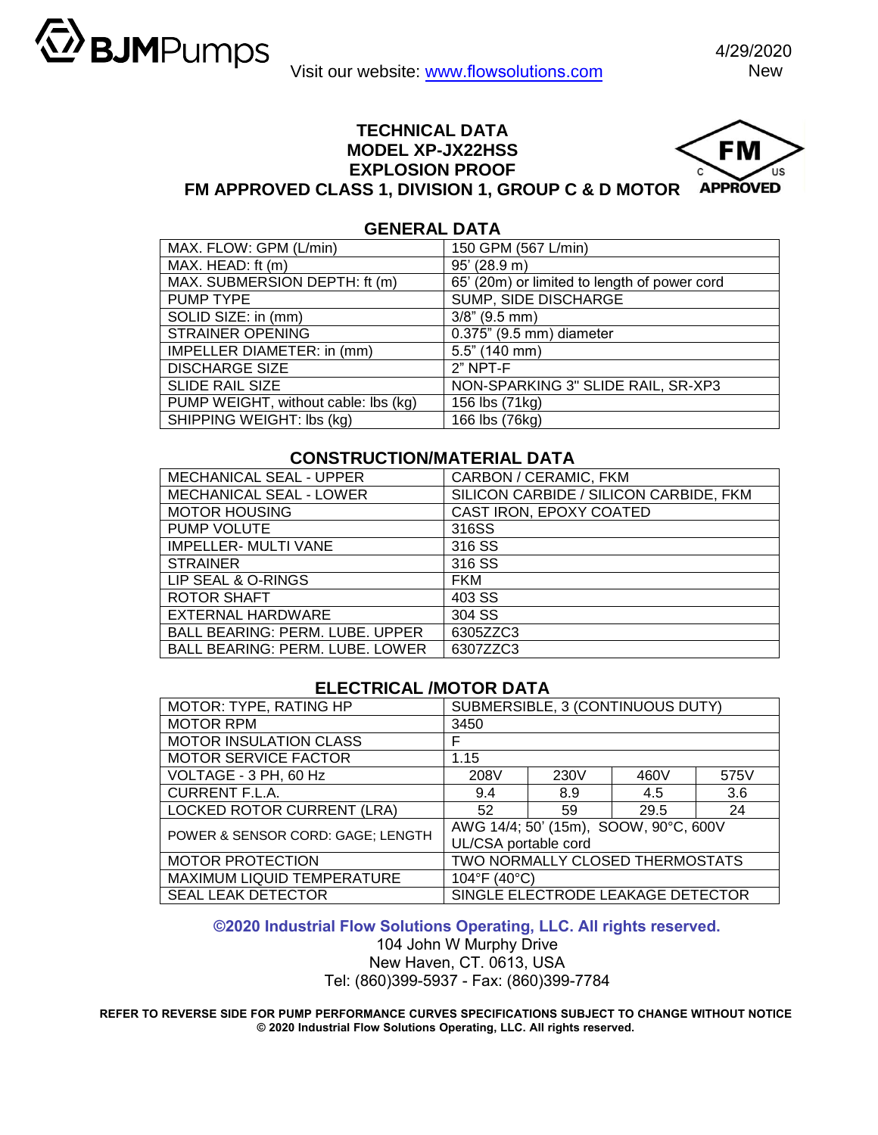US

## **TECHNICAL DATA MODEL XP-JX22HSS** FM **EXPLOSION PROOF FM APPROVED CLASS 1, DIVISION 1, GROUP C & D MOTOR APPROVED**



| MAX. FLOW: GPM (L/min)               | 150 GPM (567 L/min)                          |
|--------------------------------------|----------------------------------------------|
| MAX. HEAD: ft (m)                    | 95' (28.9 m)                                 |
| MAX. SUBMERSION DEPTH: ft (m)        | 65' (20m) or limited to length of power cord |
| PUMP TYPE                            | SUMP, SIDE DISCHARGE                         |
| SOLID SIZE: in (mm)                  | $3/8$ " (9.5 mm)                             |
| <b>STRAINER OPENING</b>              | 0.375" (9.5 mm) diameter                     |
| IMPELLER DIAMETER: in (mm)           | $5.5$ " (140 mm)                             |
| <b>DISCHARGE SIZE</b>                | $2"$ NPT-F                                   |
| <b>SLIDE RAIL SIZE</b>               | NON-SPARKING 3" SLIDE RAIL, SR-XP3           |
| PUMP WEIGHT, without cable: lbs (kg) | 156 lbs (71kg)                               |
| SHIPPING WEIGHT: Ibs (kg)            | 166 lbs (76kg)                               |

## **CONSTRUCTION/MATERIAL DATA**

| MECHANICAL SEAL - UPPER                | CARBON / CERAMIC, FKM                  |  |  |
|----------------------------------------|----------------------------------------|--|--|
| MECHANICAL SEAL - LOWER                | SILICON CARBIDE / SILICON CARBIDE, FKM |  |  |
| <b>MOTOR HOUSING</b>                   | CAST IRON, EPOXY COATED                |  |  |
| PUMP VOLUTE                            | 316SS                                  |  |  |
| IMPELLER- MULTI VANE                   | 316 SS                                 |  |  |
| <b>STRAINER</b>                        | 316 SS                                 |  |  |
| LIP SEAL & O-RINGS                     | <b>FKM</b>                             |  |  |
| <b>ROTOR SHAFT</b>                     | 403 SS                                 |  |  |
| EXTERNAL HARDWARE                      | 304 SS                                 |  |  |
| <b>BALL BEARING: PERM. LUBE. UPPER</b> | 6305ZZC3                               |  |  |
| <b>BALL BEARING: PERM. LUBE. LOWER</b> | 6307ZZC3                               |  |  |

## **ELECTRICAL /MOTOR DATA**

| MOTOR: TYPE, RATING HP            | SUBMERSIBLE, 3 (CONTINUOUS DUTY)      |      |      |      |  |
|-----------------------------------|---------------------------------------|------|------|------|--|
| <b>MOTOR RPM</b>                  | 3450                                  |      |      |      |  |
| <b>MOTOR INSULATION CLASS</b>     | F                                     |      |      |      |  |
| <b>MOTOR SERVICE FACTOR</b>       | 1.15                                  |      |      |      |  |
| VOLTAGE - 3 PH, 60 Hz             | 208V                                  | 230V | 460V | 575V |  |
| <b>CURRENT F.L.A.</b>             | 9.4                                   | 8.9  | 4.5  | 3.6  |  |
| <b>LOCKED ROTOR CURRENT (LRA)</b> | 52                                    | 59   | 29.5 | 24   |  |
| POWER & SENSOR CORD: GAGE; LENGTH | AWG 14/4; 50' (15m), SOOW, 90°C, 600V |      |      |      |  |
|                                   | UL/CSA portable cord                  |      |      |      |  |
| <b>MOTOR PROTECTION</b>           | TWO NORMALLY CLOSED THERMOSTATS       |      |      |      |  |
| MAXIMUM LIQUID TEMPERATURE        | $104^{\circ}$ F (40 $^{\circ}$ C)     |      |      |      |  |
| <b>SEAL LEAK DETECTOR</b>         | SINGLE ELECTRODE LEAKAGE DETECTOR     |      |      |      |  |

## **©2020 Industrial Flow Solutions Operating, LLC. All rights reserved.**

104 John W Murphy Drive New Haven, CT. 0613, USA Tel: (860)399-5937 - Fax: (860)399-7784

**REFER TO REVERSE SIDE FOR PUMP PERFORMANCE CURVES SPECIFICATIONS SUBJECT TO CHANGE WITHOUT NOTICE © 2020 Industrial Flow Solutions Operating, LLC. All rights reserved.**